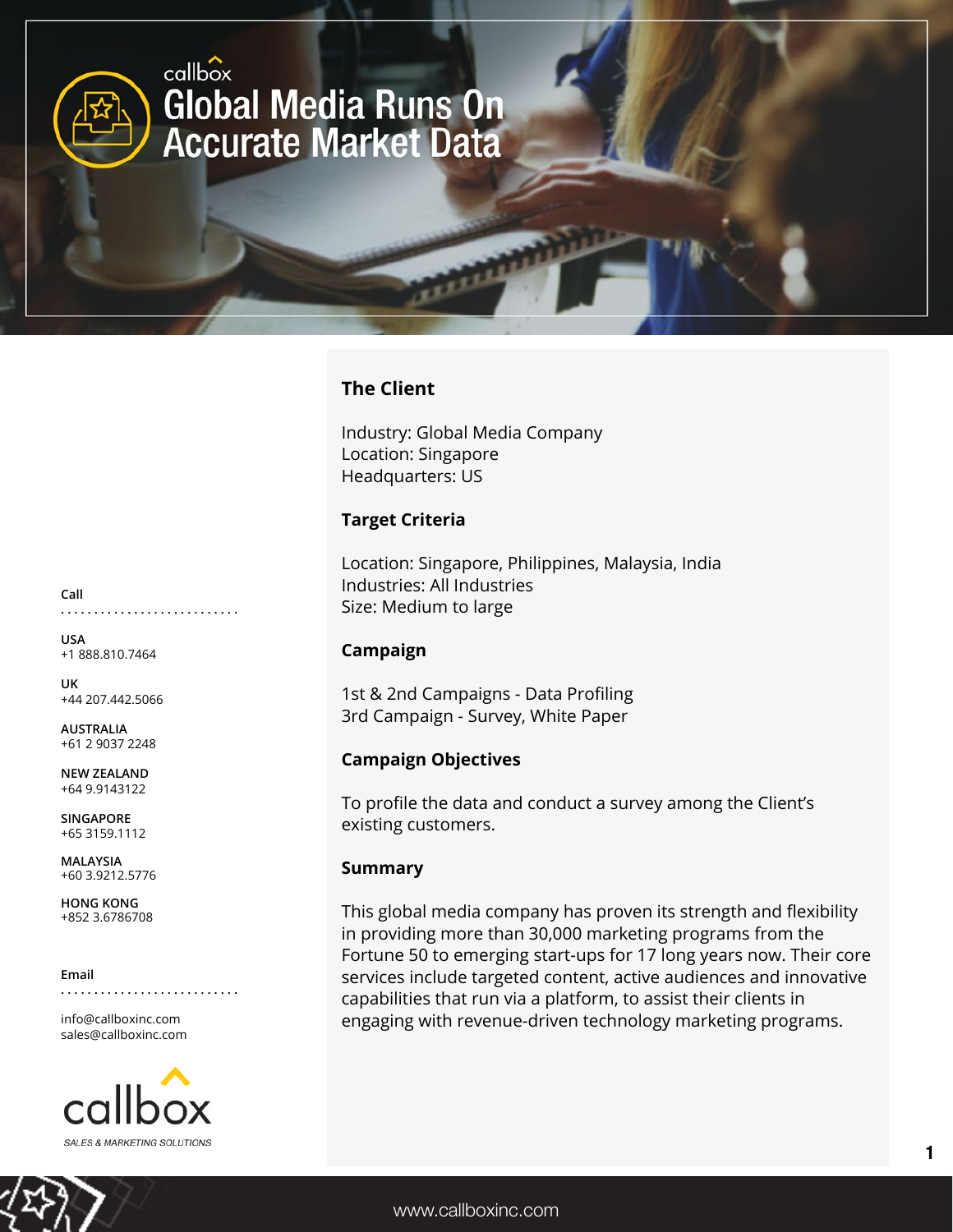

### **The Client**

Industry: Global Media Company Location: Singapore Headquarters: US

#### **Target Criteria**

Location: Singapore, Philippines, Malaysia, India Industries: All Industries Size: Medium to large

#### **Campaign**

1st & 2nd Campaigns - Data Profiling 3rd Campaign - Survey, White Paper

### **Campaign Objectives**

To profile the data and conduct a survey among the Client's existing customers.

#### **Summary**

This global media company has proven its strength and flexibility in providing more than 30,000 marketing programs from the Fortune 50 to emerging start-ups for 17 long years now. Their core services include targeted content, active audiences and innovative capabilities that run via a platform, to assist their clients in engaging with revenue-driven technology marketing programs.

**Call . . . . . . . . . . . . . . . . . . . . . . . . . . .**

**USA** +1 888.810.7464

**UK** +44 207.442.5066

**AUSTRALIA** +61 2 9037 2248

**NEW ZEALAND** +64 9.9143122

**SINGAPORE** +65 3159.1112

**MALAYSIA** +60 3.9212.5776

**HONG KONG** +852 3.6786708

**Email**

**. . . . . . . . . . . . . . . . . . . . . . . . . . .**

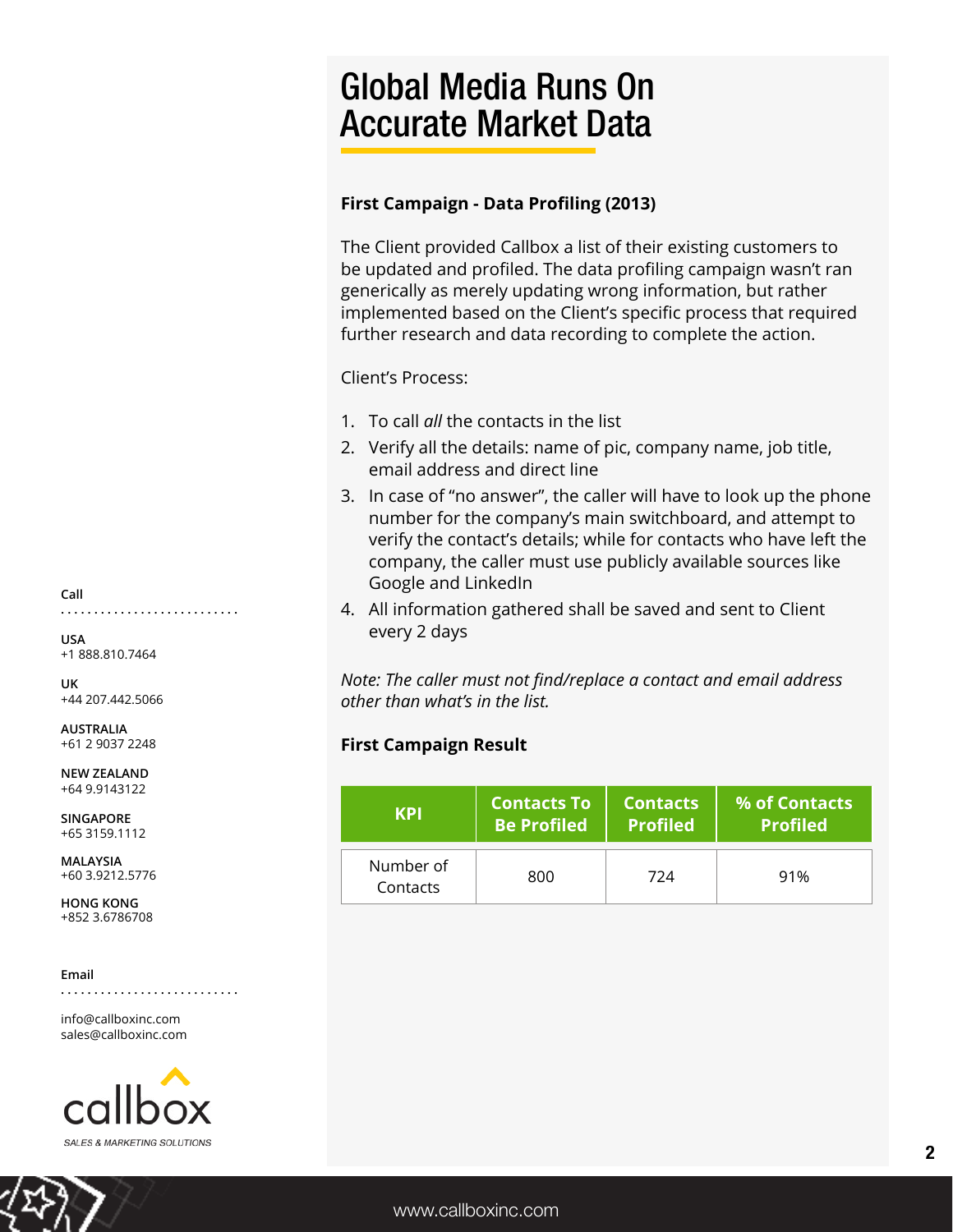# Global Media Runs On Accurate Market Data

### **First Campaign - Data Profiling (2013)**

The Client provided Callbox a list of their existing customers to be updated and profiled. The data profiling campaign wasn't ran generically as merely updating wrong information, but rather implemented based on the Client's specific process that required further research and data recording to complete the action.

Client's Process:

- 1. To call *all* the contacts in the list
- 2. Verify all the details: name of pic, company name, job title, email address and direct line
- 3. In case of "no answer", the caller will have to look up the phone number for the company's main switchboard, and attempt to verify the contact's details; while for contacts who have left the company, the caller must use publicly available sources like Google and LinkedIn
- 4. All information gathered shall be saved and sent to Client every 2 days

*Note: The caller must not find/replace a contact and email address other than what's in the list.*

### **First Campaign Result**

| <b>KPI</b>            | <b>Contacts To</b> | <b>Contacts</b> | % of Contacts   |
|-----------------------|--------------------|-----------------|-----------------|
|                       | <b>Be Profiled</b> | <b>Profiled</b> | <b>Profiled</b> |
| Number of<br>Contacts | 800                | 724             | 91%             |



**USA** +1 888.810.7464

**UK** +44 207.442.5066

**AUSTRALIA** +61 2 9037 2248

**NEW ZEALAND** +64 9.9143122

**SINGAPORE** +65 3159.1112

**MALAYSIA** +60 3.9212.5776

**HONG KONG** +852 3.6786708

**Email**

**. . . . . . . . . . . . . . . . . . . . . . . . . . .**

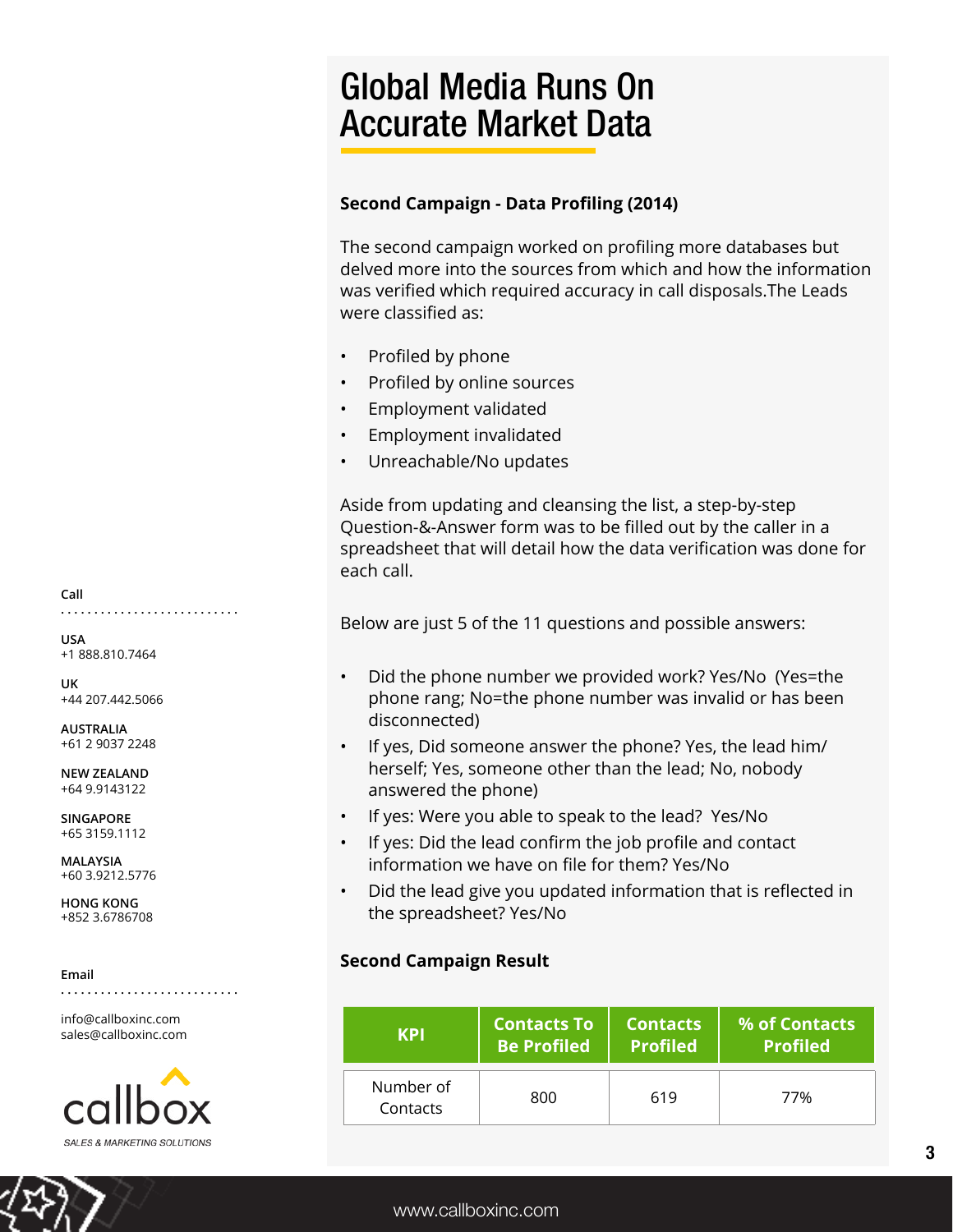# Global Media Runs On Accurate Market Data

## **Second Campaign - Data Profiling (2014)**

The second campaign worked on profiling more databases but delved more into the sources from which and how the information was verified which required accuracy in call disposals.The Leads were classified as:

- Profiled by phone
- Profiled by online sources
- Employment validated
- Employment invalidated
- Unreachable/No updates

Aside from updating and cleansing the list, a step-by-step Question-&-Answer form was to be filled out by the caller in a spreadsheet that will detail how the data verification was done for each call.

Below are just 5 of the 11 questions and possible answers:

- Did the phone number we provided work? Yes/No (Yes=the phone rang; No=the phone number was invalid or has been disconnected)
- If yes, Did someone answer the phone? Yes, the lead him/ herself; Yes, someone other than the lead; No, nobody answered the phone)
- If yes: Were you able to speak to the lead? Yes/No
- If yes: Did the lead confirm the job profile and contact information we have on file for them? Yes/No
- Did the lead give you updated information that is reflected in the spreadsheet? Yes/No

## **Second Campaign Result**

| KPI                   | <b>Contacts To</b> | <b>Contacts</b> | % of Contacts   |
|-----------------------|--------------------|-----------------|-----------------|
|                       | <b>Be Profiled</b> | <b>Profiled</b> | <b>Profiled</b> |
| Number of<br>Contacts | 800                | 619             | 77%             |

**Call . . . . . . . . . . . . . . . . . . . . . . . . . . .**

**USA** +1 888.810.7464

**UK** +44 207.442.5066

**AUSTRALIA** +61 2 9037 2248

**NEW ZEALAND** +64 9.9143122

**SINGAPORE** +65 3159.1112

**MALAYSIA** +60 3.9212.5776

**HONG KONG** +852 3.6786708

**Email**

**. . . . . . . . . . . . . . . . . . . . . . . . . . .**